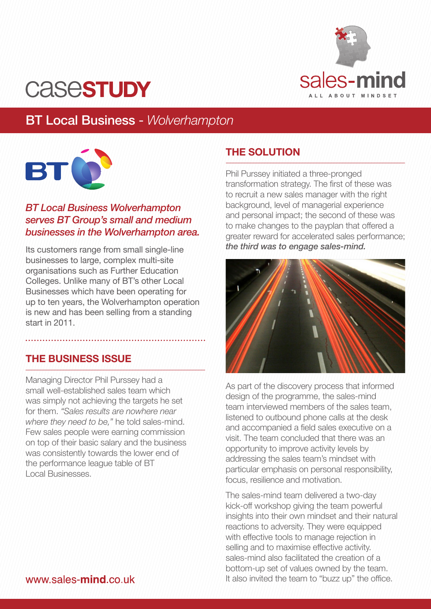

# **CASESTUDY**

# BT Local Business - *Wolverhampton*



### *BT Local Business Wolverhampton serves BT Group's small and medium businesses in the Wolverhampton area.*

Its customers range from small single-line businesses to large, complex multi-site organisations such as Further Education Colleges. Unlike many of BT's other Local Businesses which have been operating for up to ten years, the Wolverhampton operation is new and has been selling from a standing start in 2011.

# **THE BUSINESS ISSUE**

Managing Director Phil Purssey had a small well-established sales team which was simply not achieving the targets he set for them. *"Sales results are nowhere near where they need to be,"* he told sales-mind. Few sales people were earning commission on top of their basic salary and the business was consistently towards the lower end of the performance league table of BT Local Businesses.

## **THE SOLUTION**

Phil Purssey initiated a three-pronged transformation strategy. The first of these was to recruit a new sales manager with the right background, level of managerial experience and personal impact; the second of these was to make changes to the payplan that offered a greater reward for accelerated sales performance; *the third was to engage sales-mind.*



As part of the discovery process that informed design of the programme, the sales-mind team interviewed members of the sales team, listened to outbound phone calls at the desk and accompanied a field sales executive on a visit. The team concluded that there was an opportunity to improve activity levels by addressing the sales team's mindset with particular emphasis on personal responsibility, focus, resilience and motivation.

The sales-mind team delivered a two-day kick-off workshop giving the team powerful insights into their own mindset and their natural reactions to adversity. They were equipped with effective tools to manage rejection in selling and to maximise effective activity. sales-mind also facilitated the creation of a bottom-up set of values owned by the team. It also invited the team to "buzz up" the office.

#### www.sales-mind.co.uk